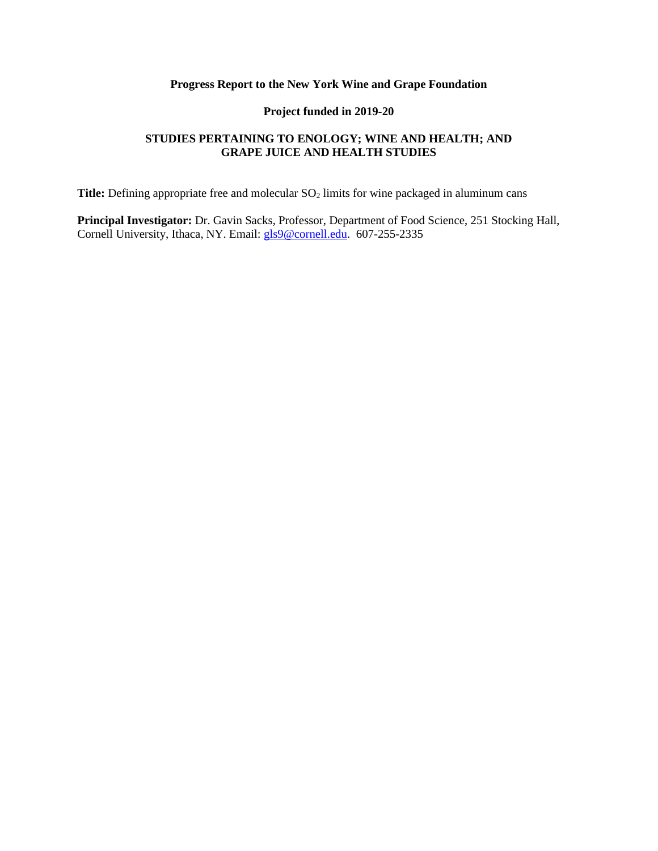# **Progress Report to the New York Wine and Grape Foundation**

### **Project funded in 2019-20**

## **STUDIES PERTAINING TO ENOLOGY; WINE AND HEALTH; AND GRAPE JUICE AND HEALTH STUDIES**

Title: Defining appropriate free and molecular SO<sub>2</sub> limits for wine packaged in aluminum cans

**Principal Investigator:** Dr. Gavin Sacks, Professor, Department of Food Science, 251 Stocking Hall, Cornell University, Ithaca, NY. Email: [gls9@cornell.edu.](mailto:gls9@cornell.edu) 607-255-2335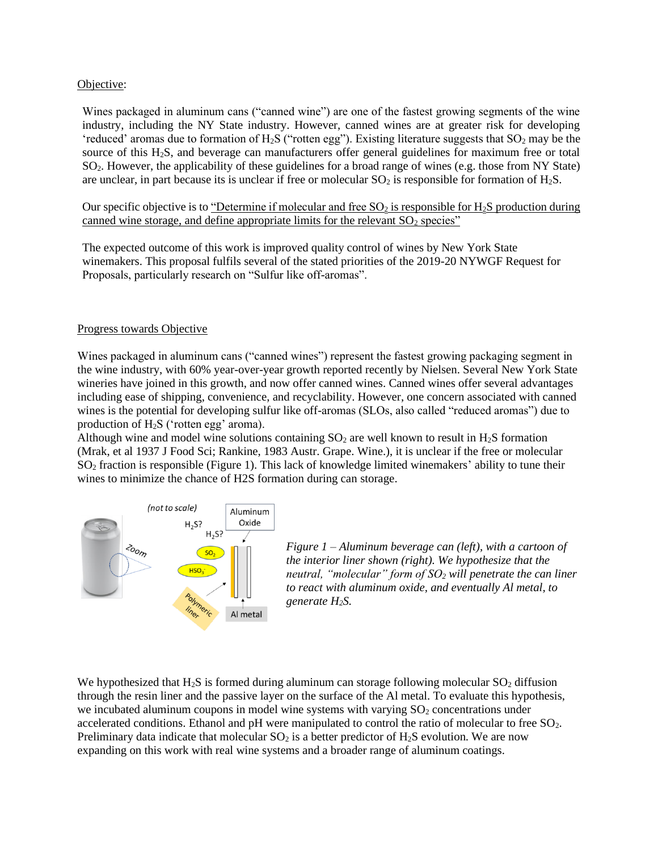### Objective:

Wines packaged in aluminum cans ("canned wine") are one of the fastest growing segments of the wine industry, including the NY State industry. However, canned wines are at greater risk for developing 'reduced' aromas due to formation of  $H_2S$  ("rotten egg"). Existing literature suggests that  $SO_2$  may be the source of this H2S, and beverage can manufacturers offer general guidelines for maximum free or total SO2. However, the applicability of these guidelines for a broad range of wines (e.g. those from NY State) are unclear, in part because its is unclear if free or molecular  $SO_2$  is responsible for formation of  $H_2S$ .

Our specific objective is to "Determine if molecular and free  $SO_2$  is responsible for H<sub>2</sub>S production during canned wine storage, and define appropriate limits for the relevant  $SO<sub>2</sub>$  species"

The expected outcome of this work is improved quality control of wines by New York State winemakers. This proposal fulfils several of the stated priorities of the 2019-20 NYWGF Request for Proposals, particularly research on "Sulfur like off-aromas".

#### Progress towards Objective

Wines packaged in aluminum cans ("canned wines") represent the fastest growing packaging segment in the wine industry, with 60% year-over-year growth reported recently by Nielsen. Several New York State wineries have joined in this growth, and now offer canned wines. Canned wines offer several advantages including ease of shipping, convenience, and recyclability. However, one concern associated with canned wines is the potential for developing sulfur like off-aromas (SLOs, also called "reduced aromas") due to production of H2S ('rotten egg' aroma).

Although wine and model wine solutions containing  $SO_2$  are well known to result in  $H_2S$  formation (Mrak, et al 1937 J Food Sci; Rankine, 1983 Austr. Grape. Wine.), it is unclear if the free or molecular SO<sup>2</sup> fraction is responsible (Figure 1). This lack of knowledge limited winemakers' ability to tune their wines to minimize the chance of H2S formation during can storage.



*Figure 1 – Aluminum beverage can (left), with a cartoon of the interior liner shown (right). We hypothesize that the neutral, "molecular" form of SO<sup>2</sup> will penetrate the can liner to react with aluminum oxide, and eventually Al metal, to generate H2S.*

We hypothesized that  $H_2S$  is formed during aluminum can storage following molecular  $SO_2$  diffusion through the resin liner and the passive layer on the surface of the Al metal. To evaluate this hypothesis, we incubated aluminum coupons in model wine systems with varying  $SO<sub>2</sub>$  concentrations under accelerated conditions. Ethanol and pH were manipulated to control the ratio of molecular to free SO2. Preliminary data indicate that molecular  $SO_2$  is a better predictor of H<sub>2</sub>S evolution. We are now expanding on this work with real wine systems and a broader range of aluminum coatings.